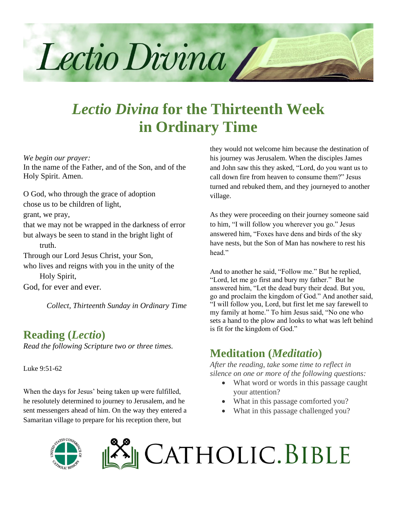

# *Lectio Divina* **for the Thirteenth Week in Ordinary Time**

*We begin our prayer:*

In the name of the Father, and of the Son, and of the Holy Spirit. Amen.

O God, who through the grace of adoption chose us to be children of light,

grant, we pray,

that we may not be wrapped in the darkness of error but always be seen to stand in the bright light of

truth.

Through our Lord Jesus Christ, your Son,

who lives and reigns with you in the unity of the Holy Spirit,

God, for ever and ever.

*Collect, Thirteenth Sunday in Ordinary Time*

### **Reading (***Lectio***)**

*Read the following Scripture two or three times.*

Luke 9:51-62

When the days for Jesus' being taken up were fulfilled, he resolutely determined to journey to Jerusalem, and he sent messengers ahead of him. On the way they entered a Samaritan village to prepare for his reception there, but

they would not welcome him because the destination of his journey was Jerusalem. When the disciples James and John saw this they asked, "Lord, do you want us to call down fire from heaven to consume them?" Jesus turned and rebuked them, and they journeyed to another village.

As they were proceeding on their journey someone said to him, "I will follow you wherever you go." Jesus answered him, "Foxes have dens and birds of the sky have nests, but the Son of Man has nowhere to rest his head"

And to another he said, "Follow me." But he replied, "Lord, let me go first and bury my father." But he answered him, "Let the dead bury their dead. But you, go and proclaim the kingdom of God." And another said, "I will follow you, Lord, but first let me say farewell to my family at home." To him Jesus said, "No one who sets a hand to the plow and looks to what was left behind is fit for the kingdom of God."

## **Meditation (***Meditatio***)**

*After the reading, take some time to reflect in silence on one or more of the following questions:*

- What word or words in this passage caught your attention?
- What in this passage comforted you?
- What in this passage challenged you?